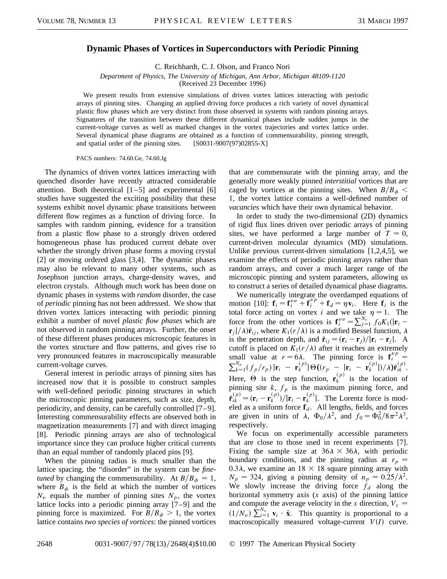## **Dynamic Phases of Vortices in Superconductors with Periodic Pinning**

C. Reichhardt, C. J. Olson, and Franco Nori

*Department of Physics, The University of Michigan, Ann Arbor, Michigan 48109-1120*

(Received 23 December 1996)

We present results from extensive simulations of driven vortex lattices interacting with periodic arrays of pinning sites. Changing an applied driving force produces a rich variety of novel dynamical plastic flow phases which are very distinct from those observed in systems with random pinning arrays. Signatures of the transition between these different dynamical phases include sudden jumps in the current-voltage curves as well as marked changes in the vortex trajectories and vortex lattice order. Several dynamical phase diagrams are obtained as a function of commensurability, pinning strength, and spatial order of the pinning sites. [S0031-9007(97)02855-X]

PACS numbers: 74.60.Ge, 74.60.Jg

The dynamics of driven vortex lattices interacting with quenched disorder have recently attracted considerable attention. Both theoretical  $[1-5]$  and experimental  $[6]$ studies have suggested the exciting possibility that these systems exhibit novel dynamic phase transitions between different flow regimes as a function of driving force. In samples with random pinning, evidence for a transition from a plastic flow phase to a strongly driven ordered homogeneous phase has produced current debate over whether the strongly driven phase forms a moving crystal [2] or moving ordered glass [3,4]. The dynamic phases may also be relevant to many other systems, such as Josephson junction arrays, charge-density waves, and electron crystals. Although much work has been done on dynamic phases in systems with *random* disorder, the case of *periodic* pinning has not been addressed. We show that driven vortex lattices interacting with periodic pinning exhibit a number of novel *plastic flow phases* which are not observed in random pinning arrays. Further, the onset of these different phases produces microscopic features in the vortex structure and flow patterns, and gives rise to very pronounced features in macroscopically measurable current-voltage curves.

General interest in periodic arrays of pinning sites has increased now that it is possible to construct samples with well-defined periodic pinning structures in which the microscopic pinning parameters, such as size, depth, periodicity, and density, can be carefully controlled [7–9]. Interesting commensurability effects are observed both in magnetization measurements [7] and with direct imaging [8]. Periodic pinning arrays are also of technological importance since they can produce higher critical currents than an equal number of randomly placed pins [9].

When the pinning radius is much smaller than the lattice spacing, the "disorder" in the system can be *finetuned* by changing the commensurability. At  $B/B_{\phi} = 1$ , where  $B_{\phi}$  is the field at which the number of vortices  $N_v$  equals the number of pinning sites  $N_p$ , the vortex lattice locks into a periodic pinning array [7–9] and the pinning force is maximized. For  $B/B_{\phi} > 1$ , the vortex lattice contains *two species of vortices*: the pinned vortices

that are commensurate with the pinning array, and the generally more weakly pinned *interstitial* vortices that are caged by vortices at the pinning sites. When  $B/B_{\phi}$  < 1, the vortex lattice contains a well-defined number of *vacancies* which have their own dynamical behavior.

In order to study the two-dimensional (2D) dynamics of rigid flux lines driven over periodic arrays of pinning sites, we have performed a large number of  $T = 0$ , current-driven molecular dynamics (MD) simulations. Unlike previous current-driven simulations [1,2,4,5], we examine the effects of periodic pinning arrays rather than random arrays, and cover a much larger range of the microscopic pinning and system parameters, allowing us to construct a series of detailed dynamical phase diagrams.

We numerically integrate the overdamped equations of motion [10]:  $\mathbf{f}_i = \mathbf{f}_i^{vv} + \mathbf{f}_i^{vp} + \mathbf{f}_d = \eta \mathbf{v}_i$ . Here  $\mathbf{f}_i$  is the total force acting on vortex *i* and we take  $\eta = 1$ . The force from the other vortices is  $\mathbf{f}_i^{yv} = \sum_{j=1}^{N_y} f_0 K_1(|\mathbf{r}_i - \mathbf{r}_j|)$  $\mathbf{r}_i / (\lambda) \hat{\mathbf{r}}_{ij}$ , where  $K_1(r/\lambda)$  is a modified Bessel function,  $\lambda$ is the penetration depth, and  $\hat{\mathbf{r}}_{ij} = (\mathbf{r}_i - \mathbf{r}_j)/|\mathbf{r}_i - \mathbf{r}_j|$ . A cutoff is placed on  $K_1(r/\lambda)$  after it reaches an extremely small value at  $r = 6\lambda$ . The pinning force is  $\mathbf{f}_i^{vp} = \sum_{k=1}^{N_p} (f_p/r_p) |\mathbf{r}_i - \mathbf{r}_k^{(p)}| \Theta((r_p - |\mathbf{r}_i - \mathbf{r}_k^{(p)}|)/\lambda) \hat{\mathbf{r}}_{ik}^{(p)}$ . Here,  $\Theta$  is the step function,  $\mathbf{r}_k^{(p)}$  is the location of pinning site  $k$ ,  $f_p$  is the maximum pinning force, and  $\hat{\mathbf{r}}_{ik}^{(p)} = (\mathbf{r}_i - \mathbf{r}_k^{(p)})/|\mathbf{r}_i - \mathbf{r}_k^{(p)}|$ . The Lorentz force is modeled as a uniform force  $\mathbf{f}_d$ . All lengths, fields, and forces are given in units of  $\lambda$ ,  $\Phi_0/\lambda^2$ , and  $f_0 = \Phi_0^2/8\pi^2\lambda^3$ , respectively.

We focus on experimentally accessible parameters that are close to those used in recent experiments [7]. Fixing the sample size at  $36\lambda \times 36\lambda$ , with periodic boundary conditions, and the pinning radius at  $r_p =$ 0.3 $\lambda$ , we examine an 18  $\times$  18 square pinning array with  $N_p = 324$ , giving a pinning density of  $n_p = 0.25/\lambda^2$ . We slowly increase the driving force  $f_d$  along the horizontal symmetry axis (*x* axis) of the pinning lattice and compute the average velocity in the *x* direction,  $V_x$  =  $(1/N_v) \sum_{i=1}^{N_v} \mathbf{v}_i \cdot \hat{\mathbf{x}}$ . This quantity is proportional to a macroscopically measured voltage-current  $V(I)$  curve.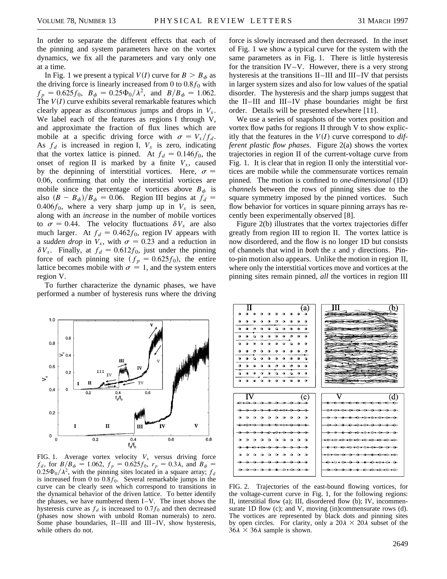In order to separate the different effects that each of the pinning and system parameters have on the vortex dynamics, we fix all the parameters and vary only one at a time.

In Fig. 1 we present a typical *V*(*I*) curve for  $B > B_{\phi}$  as the driving force is linearly increased from  $0$  to  $0.8f_0$  with  $f_p = 0.625f_0$ ,  $B_{\phi} = 0.25\Phi_0/\lambda^2$ , and  $B/B_{\phi} = 1.062$ . The  $V(I)$  curve exhibits several remarkable features which clearly appear as *discontinuous* jumps and drops in *Vx* . We label each of the features as regions I through V, and approximate the fraction of flux lines which are mobile at a specific driving force with  $\sigma = V_x/f_d$ . As  $f_d$  is increased in region I,  $V_x$  is zero, indicating that the vortex lattice is pinned. At  $f_d = 0.146f_0$ , the onset of region II is marked by a finite  $V_x$ , caused by the depinning of interstitial vortices. Here,  $\sigma =$ 0.06, confirming that only the interstitial vortices are mobile since the percentage of vortices above  $B_{\phi}$  is also  $(B - B_{\phi})/B_{\phi} = 0.06$ . Region III begins at  $f_d =$ 0.406 $f_0$ , where a very sharp jump up in  $V_x$  is seen, along with an *increase* in the number of mobile vortices to  $\sigma = 0.44$ . The velocity fluctuations  $\delta V_x$  are also much larger. At  $f_d = 0.462 f_0$ , region IV appears with a *sudden drop* in  $V_x$ , with  $\sigma = 0.23$  and a reduction in  $\delta V_x$ . Finally, at  $f_d = 0.612 f_0$ , just under the pinning force of each pinning site  $(f_p = 0.625f_0)$ , the entire lattice becomes mobile with  $\sigma = 1$ , and the system enters region V.

To further characterize the dynamic phases, we have performed a number of hysteresis runs where the driving



FIG. 1. Average vortex velocity  $V_x$  versus driving force  $f_d$ , for  $B/B_\phi = 1.062$ ,  $f_p = 0.625f_0$ ,  $r_p = 0.3\lambda$ , and  $B_\phi =$  $0.25\Phi_0/\lambda^2$ , with the pinning sites located in a square array;  $f_d$ is increased from 0 to  $0.8f_0$ . Several remarkable jumps in the curve can be clearly seen which correspond to transitions in the dynamical behavior of the driven lattice. To better identify the phases, we have numbered them  $I - V$ . The inset shows the hysteresis curve as  $f_d$  is increased to  $0.7f_0$  and then decreased (phases now shown with unbold Roman numerals) to zero. Some phase boundaries, II–III and III–IV, show hysteresis, while others do not.

force is slowly increased and then decreased. In the inset of Fig. 1 we show a typical curve for the system with the same parameters as in Fig. 1. There is little hysteresis for the transition IV–V. However, there is a very strong hysteresis at the transitions II–III and III–IV that persists in larger system sizes and also for low values of the spatial disorder. The hysteresis and the sharp jumps suggest that the II– III and III– IV phase boundaries might be first order. Details will be presented elsewhere [11].

We use a series of snapshots of the vortex position and vortex flow paths for regions II through V to show explicitly that the features in the  $V(I)$  curve correspond to *different plastic flow phases*. Figure 2(a) shows the vortex trajectories in region II of the current-voltage curve from Fig. 1. It is clear that in region II only the interstitial vortices are mobile while the commensurate vortices remain pinned. The motion is confined to *one-dimensional* (1D) *channels* between the rows of pinning sites due to the square symmetry imposed by the pinned vortices. Such flow behavior for vortices in square pinning arrays has recently been experimentally observed [8].

Figure 2(b) illustrates that the vortex trajectories differ greatly from region III to region II. The vortex lattice is now disordered, and the flow is no longer 1D but consists of channels that wind in *both* the *x* and *y* directions. Pinto-pin motion also appears. Unlike the motion in region II, where only the interstitial vortices move and vortices at the pinning sites remain pinned, *all* the vortices in region III



FIG. 2. Trajectories of the east-bound flowing vortices, for the voltage-current curve in Fig. 1, for the following regions: II, interstitial flow (a); III, disordered flow (b); IV, incommensurate 1D flow (c); and V, moving (in)commensurate rows (d). The vortices are represented by black dots and pinning sites by open circles. For clarity, only a  $20\lambda \times 20\lambda$  subset of the  $36\lambda \times 36\lambda$  sample is shown.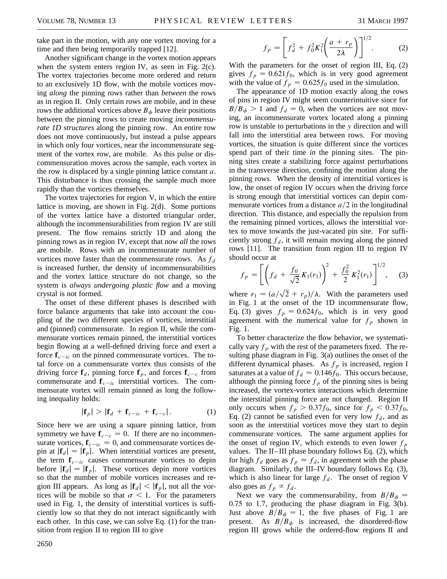take part in the motion, with any one vortex moving for a time and then being temporarily trapped [12].

Another significant change in the vortex motion appears when the system enters region IV, as seen in Fig.  $2(c)$ . The vortex trajectories become more ordered and return to an exclusively 1D flow, with the mobile vortices moving *along* the pinning rows rather than *between* the rows as in region II. Only certain rows are mobile, and in these rows the additional vortices above  $B_{\phi}$  leave their positions between the pinning rows to create moving *incommensurate 1D structures* along the pinning row. An entire row does not move continuously, but instead a pulse appears in which only four vortices, near the incommensurate segment of the vortex row, are mobile. As this pulse or discommensuration moves across the sample, each vortex in the row is displaced by a single pinning lattice constant *a*. This disturbance is thus crossing the sample much more rapidly than the vortices themselves.

The vortex trajectories for region V, in which the entire lattice is moving, are shown in Fig. 2(d). Some portions of the vortex lattice have a distorted triangular order, although the incommensurabilities from region IV are still present. The flow remains strictly 1D and along the pinning rows as in region IV, except that now *all* the rows are mobile. Rows with an incommensurate number of vortices move faster than the commensurate rows. As  $f_d$ is increased further, the density of incommensurabilities and the vortex lattice structure do not change, so the system is *always undergoing plastic flow* and a moving crystal is not formed.

The onset of these different phases is described with force balance arguments that take into account the coupling of the two different species of vortices, interstitial and (pinned) commensurate. In region II, while the commensurate vortices remain pinned, the interstitial vortices begin flowing at a well-defined driving force and exert a force  $f_{c-ic}$  on the pinned commensurate vortices. The total force on a commensurate vortex thus consists of the driving force  $f_d$ , pinning force  $f_p$ , and forces  $f_{c-c}$  from commensurate and  $f_{c-ic}$  interstitial vortices. The commensurate vortex will remain pinned as long the following inequality holds:

$$
|\mathbf{f}_p| > |\mathbf{f}_d + \mathbf{f}_{c-ic} + \mathbf{f}_{c-c}|.
$$
 (1)

Since here we are using a square pinning lattice, from symmetry we have  $f_{c-c} = 0$ . If there are no incommensurate vortices,  $\mathbf{f}_{c-ic} = 0$ , and commensurate vortices depin at  $|\mathbf{f}_d| = |\mathbf{f}_p|$ . When interstitial vortices are present, the term  $f_{c-ic}$  causes commensurate vortices to depin before  $|\mathbf{f}_d| = |\mathbf{f}_p|$ . These vortices depin more vortices so that the number of mobile vortices increases and region III appears. As long as  $|{\bf f}_d| < |{\bf f}_p|$ , not all the vortices will be mobile so that  $\sigma < 1$ . For the parameters used in Fig. 1, the density of interstitial vortices is sufficiently low so that they do not interact significantly with each other. In this case, we can solve Eq. (1) for the transition from region II to region III to give

$$
f_p = \left[ f_d^2 + f_0^2 K_1^2 \left( \frac{a + r_p}{2\lambda} \right) \right]^{1/2}.
$$
 (2)

With the parameters for the onset of region III, Eq. (2) gives  $f_p = 0.621 f_0$ , which is in very good agreement with the value of  $f_p = 0.625 f_0$  used in the simulation.

The appearance of 1D motion exactly along the rows of pins in region IV might seem counterintuitive since for  $B/B_{\phi} > 1$  and  $f_d = 0$ , when the vortices are not moving, an incommensurate vortex located along a pinning row is unstable to perturbations in the *y* direction and will fall into the interstitial area between rows. For moving vortices, the situation is quite different since the vortices spend part of their time *in* the pinning sites. The pinning sites create a stabilizing force against perturbations in the transverse direction, confining the motion along the pinning rows. When the density of interstitial vortices is low, the onset of region IV occurs when the driving force is strong enough that interstitial vortices can depin commensurate vortices from a distance  $a/2$  in the longitudinal direction. This distance, and especially the repulsion from the remaining pinned vortices, allows the interstitial vortex to move towards the just-vacated pin site. For sufficiently strong  $f_d$ , it will remain moving along the pinned rows [11]. The transition from region III to region IV should occur at

$$
f_p = \left[ \left( f_d + \frac{f_0}{\sqrt{2}} K_1(r_1) \right)^2 + \frac{f_0^2}{2} K_1^2(r_1) \right]^{1/2}, \quad (3)
$$

where  $r_1 = \frac{a}{a}$  $2 + r_p/\lambda$ . With the parameters used in Fig. 1 at the onset of the 1D incommensurate flow, Eq. (3) gives  $f_p = 0.624 f_0$ , which is in very good agreement with the numerical value for  $f_p$  shown in Fig. 1.

To better characterize the flow behavior, we systematically vary  $f_p$  with the rest of the parameters fixed. The resulting phase diagram in Fig. 3(a) outlines the onset of the different dynamical phases. As  $f_p$  is increased, region I saturates at a value of  $f_d \approx 0.146 f_0$ . This occurs because, although the pinning force  $f_p$  of the pinning sites is being increased, the vortex-vortex interactions which determine the interstitial pinning force are not changed. Region II only occurs when  $f_p > 0.37f_0$ , since for  $f_p < 0.37f_0$ , Eq. (2) cannot be satisfied even for very low  $f_d$ , and as soon as the interstitial vortices move they start to depin commensurate vortices. The same argument applies for the onset of region IV, which extends to even lower  $f_p$ values. The II–III phase boundary follows Eq. (2), which for high  $f_d$  goes as  $f_p \approx f_d$ , in agreement with the phase diagram. Similarly, the III–IV boundary follows Eq. (3), which is also linear for large  $f_d$ . The onset of region V also goes as  $f_p \propto f_d$ .

Next we vary the commensurability, from  $B/B_{\phi}$  = 0.75 to 1.7, producing the phase diagram in Fig. 3(b). Just above  $B/B_{\phi} = 1$ , the five phases of Fig. 1 are present. As  $B/B_{\phi}$  is increased, the disordered-flow region III grows while the ordered-flow regions II and